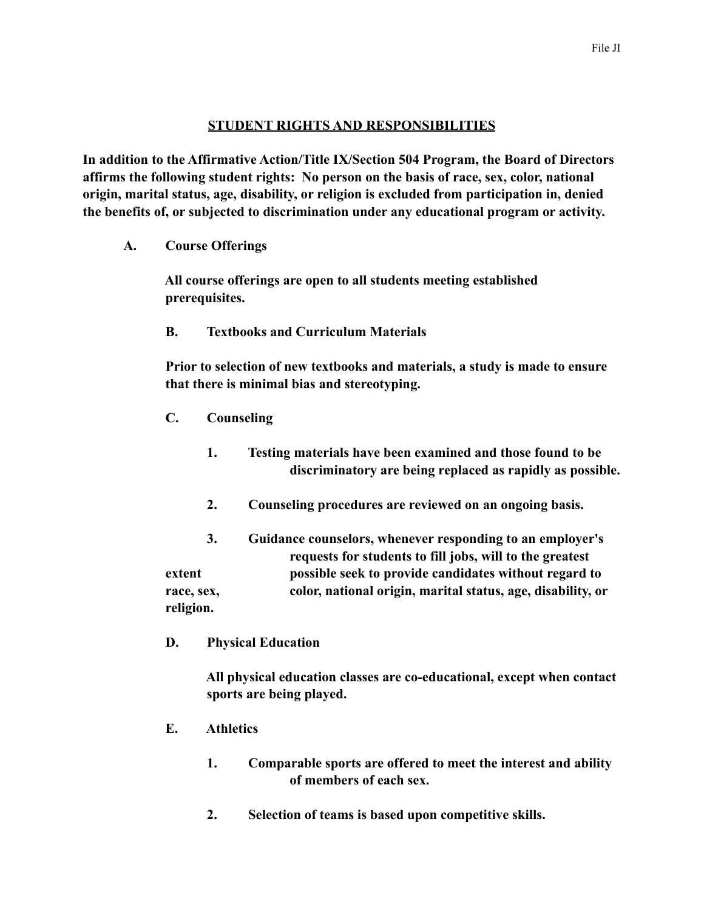## **STUDENT RIGHTS AND RESPONSIBILITIES**

**In addition to the Affirmative Action/Title IX/Section 504 Program, the Board of Directors affirms the following student rights: No person on the basis of race, sex, color, national origin, marital status, age, disability, or religion is excluded from participation in, denied the benefits of, or subjected to discrimination under any educational program or activity.**

 **A. Course Offerings**

 **All course offerings are open to all students meeting established prerequisites.**

 **B. Textbooks and Curriculum Materials**

 **Prior to selection of new textbooks and materials, a study is made to ensure that there is minimal bias and stereotyping.**

- **C. Counseling**
	- **1. Testing materials have been examined and those found to be discriminatory are being replaced as rapidly as possible.**
	- **2. Counseling procedures are reviewed on an ongoing basis.**
- **3. Guidance counselors, whenever responding to an employer's requests for students to fill jobs, will to the greatest extent possible seek to provide candidates without regard to race, sex, color, national origin, marital status, age, disability, or religion.**
- **D. Physical Education**

 **All physical education classes are co-educational, except when contact sports are being played.**

- **E. Athletics**
	- **1. Comparable sports are offered to meet the interest and ability of members of each sex.**
	- **2. Selection of teams is based upon competitive skills.**